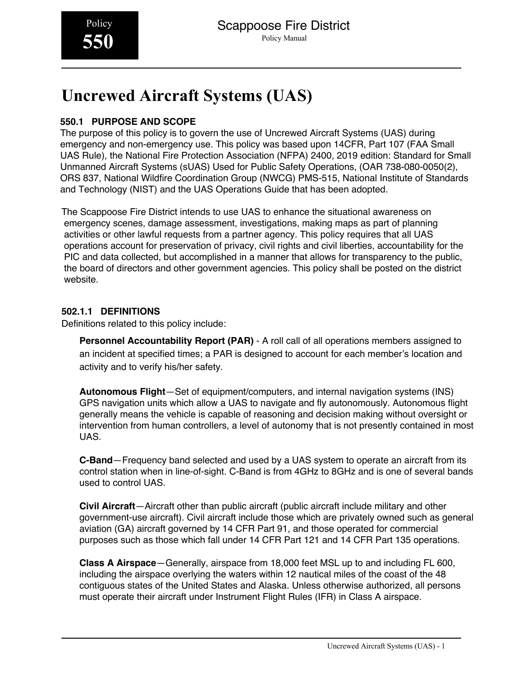# **Uncrewed Aircraft Systems (UAS)**

# **550.1 PURPOSE AND SCOPE**

The purpose of this policy is to govern the use of Uncrewed Aircraft Systems (UAS) during emergency and non-emergency use. This policy was based upon 14CFR, Part 107 (FAA Small UAS Rule), the National Fire Protection Association (NFPA) 2400, 2019 edition: Standard for Small Unmanned Aircraft Systems (sUAS) Used for Public Safety Operations, (OAR 738-080-0050(2), ORS 837, National Wildfire Coordination Group (NWCG) PMS-515, National Institute of Standards and Technology (NIST) and the UAS Operations Guide that has been adopted.

The Scappoose Fire District intends to use UAS to enhance the situational awareness on emergency scenes, damage assessment, investigations, making maps as part of planning activities or other lawful requests from a partner agency. This policy requires that all UAS operations account for preservation of privacy, civil rights and civil liberties, accountability for the PIC and data collected, but accomplished in a manner that allows for transparency to the public, the board of directors and other government agencies. This policy shall be posted on the district website.

# **502.1.1 DEFINITIONS**

Definitions related to this policy include:

**Personnel Accountability Report (PAR)** - A roll call of all operations members assigned to an incident at specified times; a PAR is designed to account for each member's location and activity and to verify his/her safety.

**Autonomous Flight**—Set of equipment/computers, and internal navigation systems (INS) GPS navigation units which allow a UAS to navigate and fly autonomously. Autonomous flight generally means the vehicle is capable of reasoning and decision making without oversight or intervention from human controllers, a level of autonomy that is not presently contained in most UAS.

**C-Band**—Frequency band selected and used by a UAS system to operate an aircraft from its control station when in line-of-sight. C-Band is from 4GHz to 8GHz and is one of several bands used to control UAS.

**Civil Aircraft**—Aircraft other than public aircraft (public aircraft include military and other government-use aircraft). Civil aircraft include those which are privately owned such as general aviation (GA) aircraft governed by 14 CFR Part 91, and those operated for commercial purposes such as those which fall under 14 CFR Part 121 and 14 CFR Part 135 operations.

**Class A Airspace**—Generally, airspace from 18,000 feet MSL up to and including FL 600, including the airspace overlying the waters within 12 nautical miles of the coast of the 48 contiguous states of the United States and Alaska. Unless otherwise authorized, all persons must operate their aircraft under Instrument Flight Rules (IFR) in Class A airspace.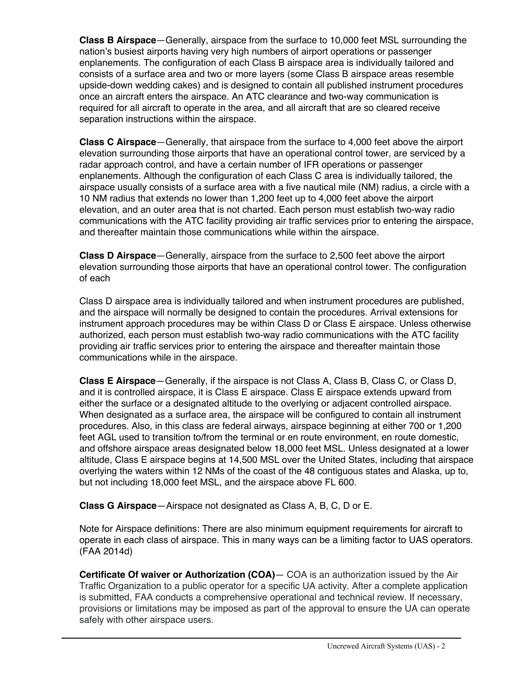**Class B Airspace**—Generally, airspace from the surface to 10,000 feet MSL surrounding the nation's busiest airports having very high numbers of airport operations or passenger enplanements. The configuration of each Class B airspace area is individually tailored and consists of a surface area and two or more layers (some Class B airspace areas resemble upside-down wedding cakes) and is designed to contain all published instrument procedures once an aircraft enters the airspace. An ATC clearance and two-way communication is required for all aircraft to operate in the area, and all aircraft that are so cleared receive separation instructions within the airspace.

**Class C Airspace**—Generally, that airspace from the surface to 4,000 feet above the airport elevation surrounding those airports that have an operational control tower, are serviced by a radar approach control, and have a certain number of IFR operations or passenger enplanements. Although the configuration of each Class C area is individually tailored, the airspace usually consists of a surface area with a five nautical mile (NM) radius, a circle with a 10 NM radius that extends no lower than 1,200 feet up to 4,000 feet above the airport elevation, and an outer area that is not charted. Each person must establish two-way radio communications with the ATC facility providing air traffic services prior to entering the airspace, and thereafter maintain those communications while within the airspace.

**Class D Airspace**—Generally, airspace from the surface to 2,500 feet above the airport elevation surrounding those airports that have an operational control tower. The configuration of each

Class D airspace area is individually tailored and when instrument procedures are published, and the airspace will normally be designed to contain the procedures. Arrival extensions for instrument approach procedures may be within Class D or Class E airspace. Unless otherwise authorized, each person must establish two-way radio communications with the ATC facility providing air traffic services prior to entering the airspace and thereafter maintain those communications while in the airspace.

**Class E Airspace**—Generally, if the airspace is not Class A, Class B, Class C, or Class D, and it is controlled airspace, it is Class E airspace. Class E airspace extends upward from either the surface or a designated altitude to the overlying or adjacent controlled airspace. When designated as a surface area, the airspace will be configured to contain all instrument procedures. Also, in this class are federal airways, airspace beginning at either 700 or 1,200 feet AGL used to transition to/from the terminal or en route environment, en route domestic, and offshore airspace areas designated below 18,000 feet MSL. Unless designated at a lower altitude, Class E airspace begins at 14,500 MSL over the United States, including that airspace overlying the waters within 12 NMs of the coast of the 48 contiguous states and Alaska, up to, but not including 18,000 feet MSL, and the airspace above FL 600.

**Class G Airspace**—Airspace not designated as Class A, B, C, D or E.

Note for Airspace definitions: There are also minimum equipment requirements for aircraft to operate in each class of airspace. This in many ways can be a limiting factor to UAS operators. (FAA 2014d)

**Certificate Of waiver or Authorization (COA)**— COA is an authorization issued by the Air Traffic Organization to a public operator for a specific UA activity. After a complete application is submitted, FAA conducts a comprehensive operational and technical review. If necessary, provisions or limitations may be imposed as part of the approval to ensure the UA can operate safely with other airspace users.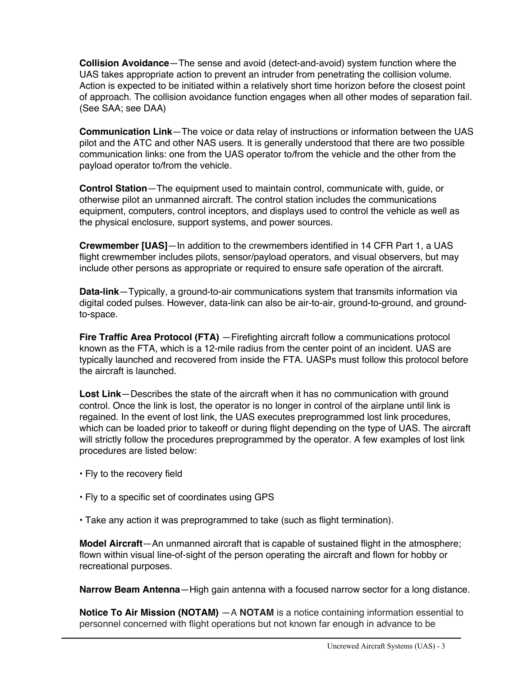**Collision Avoidance**—The sense and avoid (detect-and-avoid) system function where the UAS takes appropriate action to prevent an intruder from penetrating the collision volume. Action is expected to be initiated within a relatively short time horizon before the closest point of approach. The collision avoidance function engages when all other modes of separation fail. (See SAA; see DAA)

**Communication Link**—The voice or data relay of instructions or information between the UAS pilot and the ATC and other NAS users. It is generally understood that there are two possible communication links: one from the UAS operator to/from the vehicle and the other from the payload operator to/from the vehicle.

**Control Station**—The equipment used to maintain control, communicate with, guide, or otherwise pilot an unmanned aircraft. The control station includes the communications equipment, computers, control inceptors, and displays used to control the vehicle as well as the physical enclosure, support systems, and power sources.

**Crewmember [UAS]**—In addition to the crewmembers identified in 14 CFR Part 1, a UAS flight crewmember includes pilots, sensor/payload operators, and visual observers, but may include other persons as appropriate or required to ensure safe operation of the aircraft.

**Data-link**—Typically, a ground-to-air communications system that transmits information via digital coded pulses. However, data-link can also be air-to-air, ground-to-ground, and groundto-space.

**Fire Traffic Area Protocol (FTA)** — Firefighting aircraft follow a communications protocol known as the FTA, which is a 12-mile radius from the center point of an incident. UAS are typically launched and recovered from inside the FTA. UASPs must follow this protocol before the aircraft is launched.

**Lost Link**—Describes the state of the aircraft when it has no communication with ground control. Once the link is lost, the operator is no longer in control of the airplane until link is regained. In the event of lost link, the UAS executes preprogrammed lost link procedures, which can be loaded prior to takeoff or during flight depending on the type of UAS. The aircraft will strictly follow the procedures preprogrammed by the operator. A few examples of lost link procedures are listed below:

- Fly to the recovery field
- Fly to a specific set of coordinates using GPS
- Take any action it was preprogrammed to take (such as flight termination).

**Model Aircraft**—An unmanned aircraft that is capable of sustained flight in the atmosphere; flown within visual line-of-sight of the person operating the aircraft and flown for hobby or recreational purposes.

**Narrow Beam Antenna**—High gain antenna with a focused narrow sector for a long distance.

**Notice To Air Mission (NOTAM)** —A **NOTAM** is a notice containing information essential to personnel concerned with flight operations but not known far enough in advance to be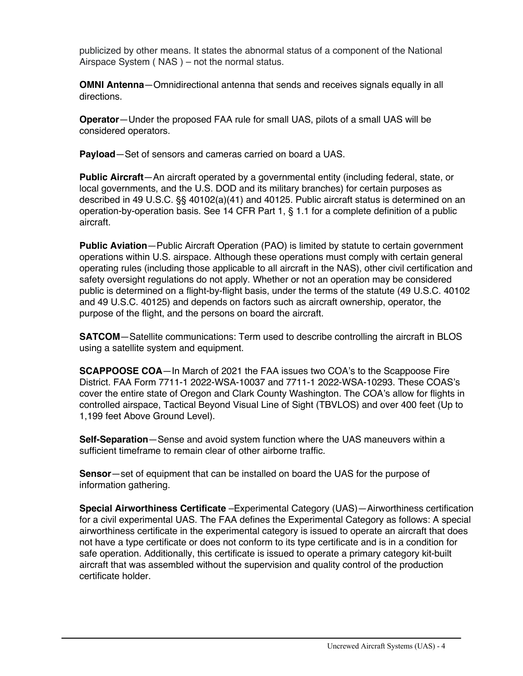publicized by other means. It states the abnormal status of a component of the National Airspace System ( NAS ) – not the normal status.

**OMNI Antenna**—Omnidirectional antenna that sends and receives signals equally in all directions.

**Operator**—Under the proposed FAA rule for small UAS, pilots of a small UAS will be considered operators.

**Payload**—Set of sensors and cameras carried on board a UAS.

**Public Aircraft**—An aircraft operated by a governmental entity (including federal, state, or local governments, and the U.S. DOD and its military branches) for certain purposes as described in 49 U.S.C. §§ 40102(a)(41) and 40125. Public aircraft status is determined on an operation-by-operation basis. See 14 CFR Part 1, § 1.1 for a complete definition of a public aircraft.

**Public Aviation**—Public Aircraft Operation (PAO) is limited by statute to certain government operations within U.S. airspace. Although these operations must comply with certain general operating rules (including those applicable to all aircraft in the NAS), other civil certification and safety oversight regulations do not apply. Whether or not an operation may be considered public is determined on a flight-by-flight basis, under the terms of the statute (49 U.S.C. 40102 and 49 U.S.C. 40125) and depends on factors such as aircraft ownership, operator, the purpose of the flight, and the persons on board the aircraft.

**SATCOM**—Satellite communications: Term used to describe controlling the aircraft in BLOS using a satellite system and equipment.

**SCAPPOOSE COA**—In March of 2021 the FAA issues two COA's to the Scappoose Fire District. FAA Form 7711-1 2022-WSA-10037 and 7711-1 2022-WSA-10293. These COAS's cover the entire state of Oregon and Clark County Washington. The COA's allow for flights in controlled airspace, Tactical Beyond Visual Line of Sight (TBVLOS) and over 400 feet (Up to 1,199 feet Above Ground Level).

**Self-Separation**—Sense and avoid system function where the UAS maneuvers within a sufficient timeframe to remain clear of other airborne traffic.

**Sensor**—set of equipment that can be installed on board the UAS for the purpose of information gathering.

**Special Airworthiness Certificate** –Experimental Category (UAS)—Airworthiness certification for a civil experimental UAS. The FAA defines the Experimental Category as follows: A special airworthiness certificate in the experimental category is issued to operate an aircraft that does not have a type certificate or does not conform to its type certificate and is in a condition for safe operation. Additionally, this certificate is issued to operate a primary category kit-built aircraft that was assembled without the supervision and quality control of the production certificate holder.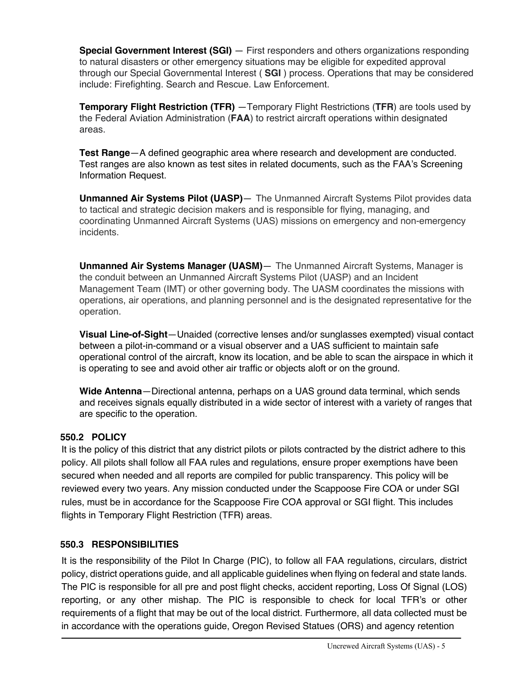**Special Government Interest (SGI)** — First responders and others organizations responding to natural disasters or other emergency situations may be eligible for expedited approval through our Special Governmental Interest ( **SGI** ) process. Operations that may be considered include: Firefighting. Search and Rescue. Law Enforcement.

**Temporary Flight Restriction (TFR)** —Temporary Flight Restrictions (**TFR**) are tools used by the Federal Aviation Administration (**FAA**) to restrict aircraft operations within designated areas.

**Test Range**—A defined geographic area where research and development are conducted. Test ranges are also known as test sites in related documents, such as the FAA's Screening Information Request.

**Unmanned Air Systems Pilot (UASP)**— The Unmanned Aircraft Systems Pilot provides data to tactical and strategic decision makers and is responsible for flying, managing, and coordinating Unmanned Aircraft Systems (UAS) missions on emergency and non-emergency incidents.

**Unmanned Air Systems Manager (UASM)**— The Unmanned Aircraft Systems, Manager is the conduit between an Unmanned Aircraft Systems Pilot (UASP) and an Incident Management Team (IMT) or other governing body. The UASM coordinates the missions with operations, air operations, and planning personnel and is the designated representative for the operation.

**Visual Line-of-Sight**—Unaided (corrective lenses and/or sunglasses exempted) visual contact between a pilot-in-command or a visual observer and a UAS sufficient to maintain safe operational control of the aircraft, know its location, and be able to scan the airspace in which it is operating to see and avoid other air traffic or objects aloft or on the ground.

**Wide Antenna**—Directional antenna, perhaps on a UAS ground data terminal, which sends and receives signals equally distributed in a wide sector of interest with a variety of ranges that are specific to the operation.

# **550.2 POLICY**

It is the policy of this district that any district pilots or pilots contracted by the district adhere to this policy. All pilots shall follow all FAA rules and regulations, ensure proper exemptions have been secured when needed and all reports are compiled for public transparency. This policy will be reviewed every two years. Any mission conducted under the Scappoose Fire COA or under SGI rules, must be in accordance for the Scappoose Fire COA approval or SGI flight. This includes flights in Temporary Flight Restriction (TFR) areas.

# **550.3 RESPONSIBILITIES**

It is the responsibility of the Pilot In Charge (PIC), to follow all FAA regulations, circulars, district policy, district operations guide, and all applicable guidelines when flying on federal and state lands. The PIC is responsible for all pre and post flight checks, accident reporting, Loss Of Signal (LOS) reporting, or any other mishap. The PIC is responsible to check for local TFR's or other requirements of a flight that may be out of the local district. Furthermore, all data collected must be in accordance with the operations guide, Oregon Revised Statues (ORS) and agency retention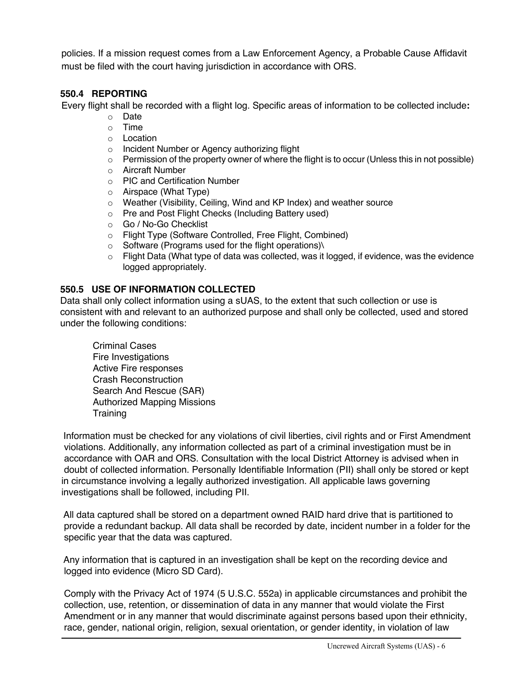policies. If a mission request comes from a Law Enforcement Agency, a Probable Cause Affidavit must be filed with the court having jurisdiction in accordance with ORS.

# **550.4 REPORTING**

Every flight shall be recorded with a flight log. Specific areas of information to be collected include**:**

- o Date
- o Time
- o Location
- o Incident Number or Agency authorizing flight
- $\circ$  Permission of the property owner of where the flight is to occur (Unless this in not possible)
- o Aircraft Number
- o PIC and Certification Number
- o Airspace (What Type)
- o Weather (Visibility, Ceiling, Wind and KP Index) and weather source
- o Pre and Post Flight Checks (Including Battery used)
- o Go / No-Go Checklist
- o Flight Type (Software Controlled, Free Flight, Combined)
- o Software (Programs used for the flight operations)\
- $\circ$  Flight Data (What type of data was collected, was it logged, if evidence, was the evidence logged appropriately.

# **550.5 USE OF INFORMATION COLLECTED**

Data shall only collect information using a sUAS, to the extent that such collection or use is consistent with and relevant to an authorized purpose and shall only be collected, used and stored under the following conditions:

Criminal Cases Fire Investigations Active Fire responses Crash Reconstruction Search And Rescue (SAR) Authorized Mapping Missions **Training** 

Information must be checked for any violations of civil liberties, civil rights and or First Amendment violations. Additionally, any information collected as part of a criminal investigation must be in accordance with OAR and ORS. Consultation with the local District Attorney is advised when in doubt of collected information. Personally Identifiable Information (PII) shall only be stored or kept in circumstance involving a legally authorized investigation. All applicable laws governing investigations shall be followed, including PII.

All data captured shall be stored on a department owned RAID hard drive that is partitioned to provide a redundant backup. All data shall be recorded by date, incident number in a folder for the specific year that the data was captured.

Any information that is captured in an investigation shall be kept on the recording device and logged into evidence (Micro SD Card).

Comply with the Privacy Act of 1974 (5 U.S.C. 552a) in applicable circumstances and prohibit the collection, use, retention, or dissemination of data in any manner that would violate the First Amendment or in any manner that would discriminate against persons based upon their ethnicity, race, gender, national origin, religion, sexual orientation, or gender identity, in violation of law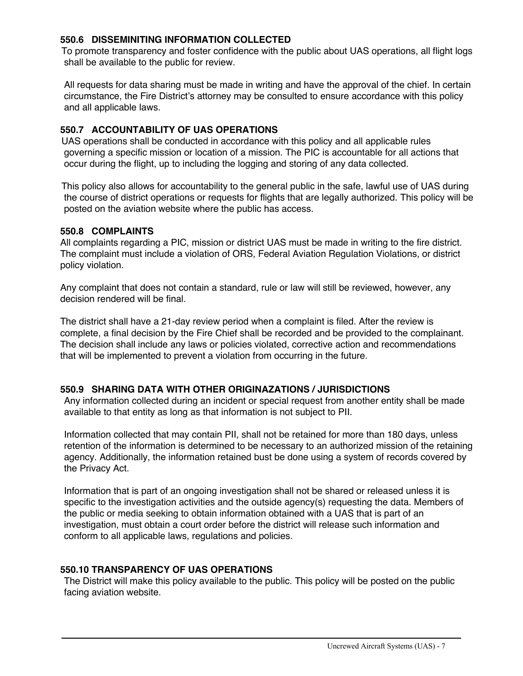#### **550.6 DISSEMINITING INFORMATION COLLECTED**

To promote transparency and foster confidence with the public about UAS operations, all flight logs shall be available to the public for review.

All requests for data sharing must be made in writing and have the approval of the chief. In certain circumstance, the Fire District's attorney may be consulted to ensure accordance with this policy and all applicable laws.

#### **550.7 ACCOUNTABILITY OF UAS OPERATIONS**

UAS operations shall be conducted in accordance with this policy and all applicable rules governing a specific mission or location of a mission. The PIC is accountable for all actions that occur during the flight, up to including the logging and storing of any data collected.

This policy also allows for accountability to the general public in the safe, lawful use of UAS during the course of district operations or requests for flights that are legally authorized. This policy will be posted on the aviation website where the public has access.

#### **550.8 COMPLAINTS**

All complaints regarding a PIC, mission or district UAS must be made in writing to the fire district. The complaint must include a violation of ORS, Federal Aviation Regulation Violations, or district policy violation.

Any complaint that does not contain a standard, rule or law will still be reviewed, however, any decision rendered will be final.

The district shall have a 21-day review period when a complaint is filed. After the review is complete, a final decision by the Fire Chief shall be recorded and be provided to the complainant. The decision shall include any laws or policies violated, corrective action and recommendations that will be implemented to prevent a violation from occurring in the future.

#### **550.9 SHARING DATA WITH OTHER ORIGINAZATIONS / JURISDICTIONS**

Any information collected during an incident or special request from another entity shall be made available to that entity as long as that information is not subject to PII.

Information collected that may contain PII, shall not be retained for more than 180 days, unless retention of the information is determined to be necessary to an authorized mission of the retaining agency. Additionally, the information retained bust be done using a system of records covered by the Privacy Act.

Information that is part of an ongoing investigation shall not be shared or released unless it is specific to the investigation activities and the outside agency(s) requesting the data. Members of the public or media seeking to obtain information obtained with a UAS that is part of an investigation, must obtain a court order before the district will release such information and conform to all applicable laws, regulations and policies.

#### **550.10 TRANSPARENCY OF UAS OPERATIONS**

The District will make this policy available to the public. This policy will be posted on the public facing aviation website.